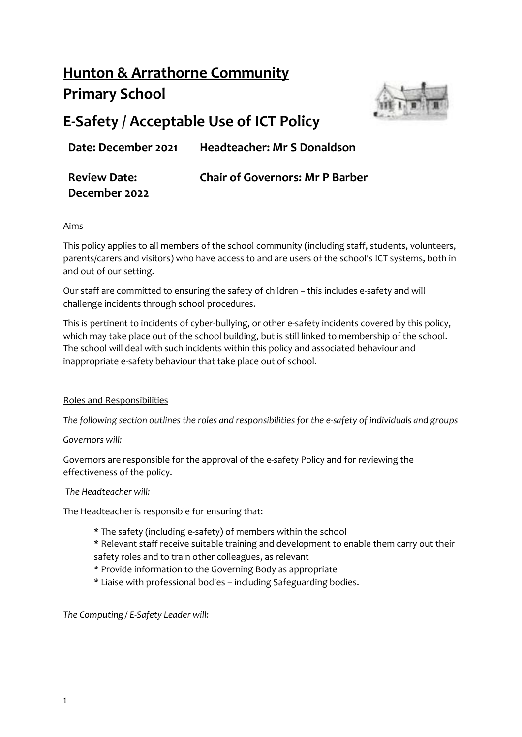# **Hunton & Arrathorne Community Primary School**



# **E-Safety / Acceptable Use of ICT Policy**

| Date: December 2021 | <b>Headteacher: Mr S Donaldson</b>     |
|---------------------|----------------------------------------|
| <b>Review Date:</b> | <b>Chair of Governors: Mr P Barber</b> |
| December 2022       |                                        |

# Aims

This policy applies to all members of the school community (including staff, students, volunteers, parents/carers and visitors) who have access to and are users of the school's ICT systems, both in and out of our setting.

Our staff are committed to ensuring the safety of children – this includes e-safety and will challenge incidents through school procedures.

This is pertinent to incidents of cyber-bullying, or other e-safety incidents covered by this policy, which may take place out of the school building, but is still linked to membership of the school. The school will deal with such incidents within this policy and associated behaviour and inappropriate e-safety behaviour that take place out of school.

# Roles and Responsibilities

*The following section outlines the roles and responsibilities for the e-safety of individuals and groups* 

# *Governors will:*

Governors are responsible for the approval of the e-safety Policy and for reviewing the effectiveness of the policy.

# *The Headteacher will:*

The Headteacher is responsible for ensuring that:

- \* The safety (including e-safety) of members within the school
- \* Relevant staff receive suitable training and development to enable them carry out their safety roles and to train other colleagues, as relevant
- \* Provide information to the Governing Body as appropriate
- \* Liaise with professional bodies including Safeguarding bodies.

# *The Computing / E-Safety Leader will:*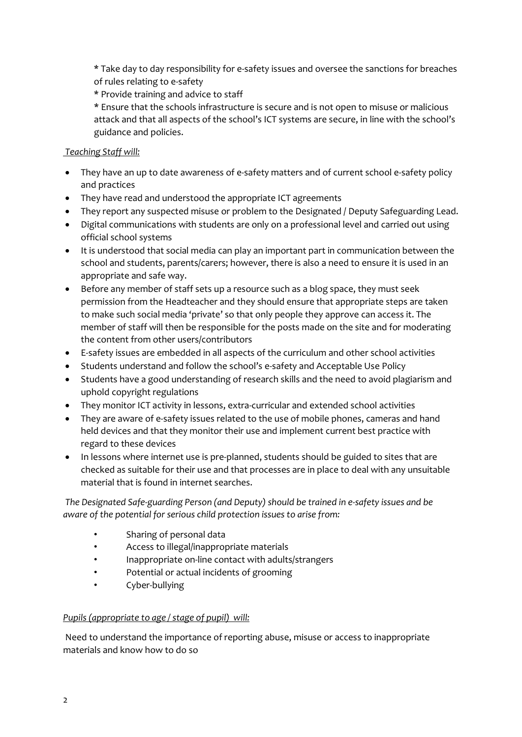\* Take day to day responsibility for e-safety issues and oversee the sanctions for breaches of rules relating to e-safety

- \* Provide training and advice to staff
- \* Ensure that the schools infrastructure is secure and is not open to misuse or malicious attack and that all aspects of the school's ICT systems are secure, in line with the school's guidance and policies.

### *Teaching Staff will:*

- They have an up to date awareness of e-safety matters and of current school e-safety policy and practices
- They have read and understood the appropriate ICT agreements
- They report any suspected misuse or problem to the Designated / Deputy Safeguarding Lead.
- Digital communications with students are only on a professional level and carried out using official school systems
- It is understood that social media can play an important part in communication between the school and students, parents/carers; however, there is also a need to ensure it is used in an appropriate and safe way.
- Before any member of staff sets up a resource such as a blog space, they must seek permission from the Headteacher and they should ensure that appropriate steps are taken to make such social media 'private' so that only people they approve can access it. The member of staff will then be responsible for the posts made on the site and for moderating the content from other users/contributors
- E-safety issues are embedded in all aspects of the curriculum and other school activities
- Students understand and follow the school's e-safety and Acceptable Use Policy
- Students have a good understanding of research skills and the need to avoid plagiarism and uphold copyright regulations
- They monitor ICT activity in lessons, extra-curricular and extended school activities
- They are aware of e-safety issues related to the use of mobile phones, cameras and hand held devices and that they monitor their use and implement current best practice with regard to these devices
- In lessons where internet use is pre-planned, students should be guided to sites that are checked as suitable for their use and that processes are in place to deal with any unsuitable material that is found in internet searches.

*The Designated Safe-guarding Person (and Deputy) should be trained in e-safety issues and be aware of the potential for serious child protection issues to arise from:* 

- Sharing of personal data
- Access to illegal/inappropriate materials
- Inappropriate on-line contact with adults/strangers
- Potential or actual incidents of grooming
- Cyber-bullying

#### *Pupils (appropriate to age / stage of pupil) will:*

Need to understand the importance of reporting abuse, misuse or access to inappropriate materials and know how to do so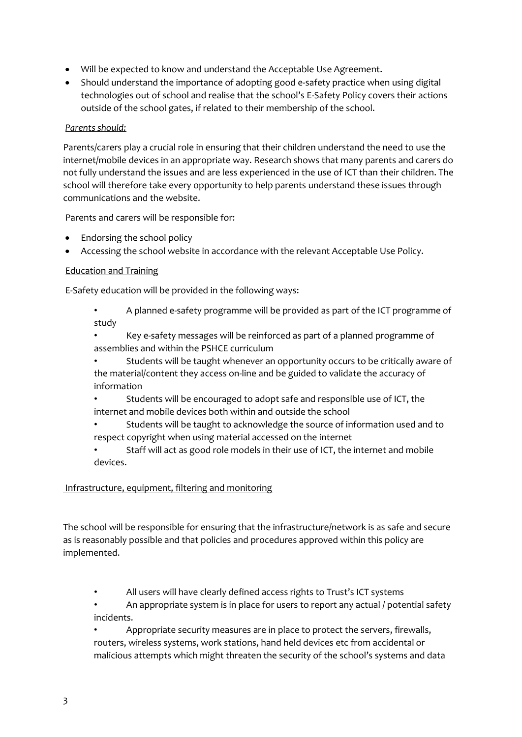- Will be expected to know and understand the Acceptable Use Agreement.
- Should understand the importance of adopting good e-safety practice when using digital technologies out of school and realise that the school's E-Safety Policy covers their actions outside of the school gates, if related to their membership of the school.

#### *Parents should:*

Parents/carers play a crucial role in ensuring that their children understand the need to use the internet/mobile devices in an appropriate way. Research shows that many parents and carers do not fully understand the issues and are less experienced in the use of ICT than their children. The school will therefore take every opportunity to help parents understand these issues through communications and the website.

Parents and carers will be responsible for:

- Endorsing the school policy
- Accessing the school website in accordance with the relevant Acceptable Use Policy.

# Education and Training

E-Safety education will be provided in the following ways:

- A planned e-safety programme will be provided as part of the ICT programme of study
- Key e-safety messages will be reinforced as part of a planned programme of assemblies and within the PSHCE curriculum
- Students will be taught whenever an opportunity occurs to be critically aware of the material/content they access on-line and be guided to validate the accuracy of information
- Students will be encouraged to adopt safe and responsible use of ICT, the internet and mobile devices both within and outside the school
- Students will be taught to acknowledge the source of information used and to respect copyright when using material accessed on the internet
- Staff will act as good role models in their use of ICT, the internet and mobile devices.

#### Infrastructure, equipment, filtering and monitoring

The school will be responsible for ensuring that the infrastructure/network is as safe and secure as is reasonably possible and that policies and procedures approved within this policy are implemented.

- All users will have clearly defined access rights to Trust's ICT systems
- An appropriate system is in place for users to report any actual / potential safety incidents.
- Appropriate security measures are in place to protect the servers, firewalls, routers, wireless systems, work stations, hand held devices etc from accidental or malicious attempts which might threaten the security of the school's systems and data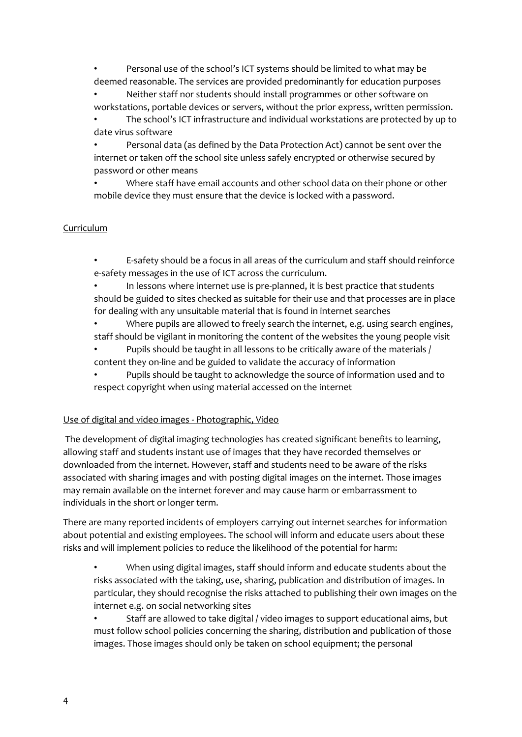• Personal use of the school's ICT systems should be limited to what may be deemed reasonable. The services are provided predominantly for education purposes

• Neither staff nor students should install programmes or other software on workstations, portable devices or servers, without the prior express, written permission.

• The school's ICT infrastructure and individual workstations are protected by up to date virus software

• Personal data (as defined by the Data Protection Act) cannot be sent over the internet or taken off the school site unless safely encrypted or otherwise secured by password or other means

• Where staff have email accounts and other school data on their phone or other mobile device they must ensure that the device is locked with a password.

#### Curriculum

• E-safety should be a focus in all areas of the curriculum and staff should reinforce e-safety messages in the use of ICT across the curriculum.

In lessons where internet use is pre-planned, it is best practice that students should be guided to sites checked as suitable for their use and that processes are in place for dealing with any unsuitable material that is found in internet searches

• Where pupils are allowed to freely search the internet, e.g. using search engines, staff should be vigilant in monitoring the content of the websites the young people visit

• Pupils should be taught in all lessons to be critically aware of the materials / content they on-line and be guided to validate the accuracy of information

• Pupils should be taught to acknowledge the source of information used and to respect copyright when using material accessed on the internet

#### Use of digital and video images - Photographic, Video

The development of digital imaging technologies has created significant benefits to learning, allowing staff and students instant use of images that they have recorded themselves or downloaded from the internet. However, staff and students need to be aware of the risks associated with sharing images and with posting digital images on the internet. Those images may remain available on the internet forever and may cause harm or embarrassment to individuals in the short or longer term.

There are many reported incidents of employers carrying out internet searches for information about potential and existing employees. The school will inform and educate users about these risks and will implement policies to reduce the likelihood of the potential for harm:

• When using digital images, staff should inform and educate students about the risks associated with the taking, use, sharing, publication and distribution of images. In particular, they should recognise the risks attached to publishing their own images on the internet e.g. on social networking sites

• Staff are allowed to take digital / video images to support educational aims, but must follow school policies concerning the sharing, distribution and publication of those images. Those images should only be taken on school equipment; the personal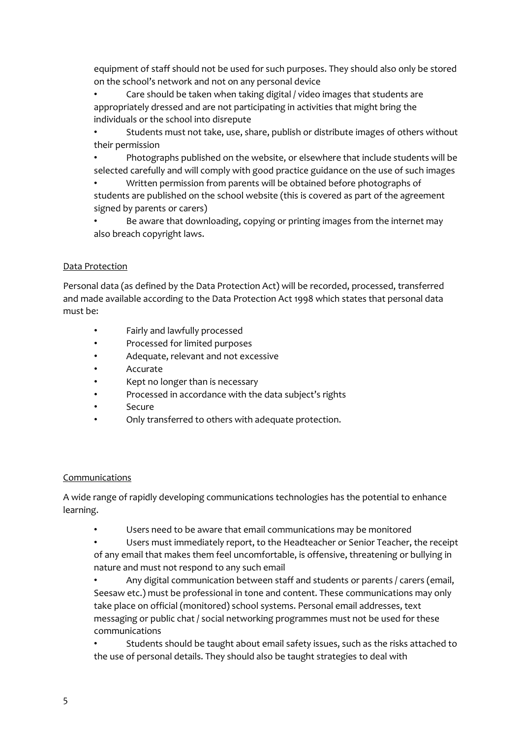equipment of staff should not be used for such purposes. They should also only be stored on the school's network and not on any personal device

• Care should be taken when taking digital / video images that students are appropriately dressed and are not participating in activities that might bring the individuals or the school into disrepute

• Students must not take, use, share, publish or distribute images of others without their permission

• Photographs published on the website, or elsewhere that include students will be selected carefully and will comply with good practice guidance on the use of such images

• Written permission from parents will be obtained before photographs of students are published on the school website (this is covered as part of the agreement signed by parents or carers)

• Be aware that downloading, copying or printing images from the internet may also breach copyright laws.

#### Data Protection

Personal data (as defined by the Data Protection Act) will be recorded, processed, transferred and made available according to the Data Protection Act 1998 which states that personal data must be:

- Fairly and lawfully processed
- Processed for limited purposes
- Adequate, relevant and not excessive
- **Accurate**
- Kept no longer than is necessary
- Processed in accordance with the data subject's rights
- **Secure**
- Only transferred to others with adequate protection.

#### Communications

A wide range of rapidly developing communications technologies has the potential to enhance learning.

Users need to be aware that email communications may be monitored

• Users must immediately report, to the Headteacher or Senior Teacher, the receipt of any email that makes them feel uncomfortable, is offensive, threatening or bullying in nature and must not respond to any such email

Any digital communication between staff and students or parents / carers (email, Seesaw etc.) must be professional in tone and content. These communications may only take place on official (monitored) school systems. Personal email addresses, text messaging or public chat / social networking programmes must not be used for these communications

• Students should be taught about email safety issues, such as the risks attached to the use of personal details. They should also be taught strategies to deal with